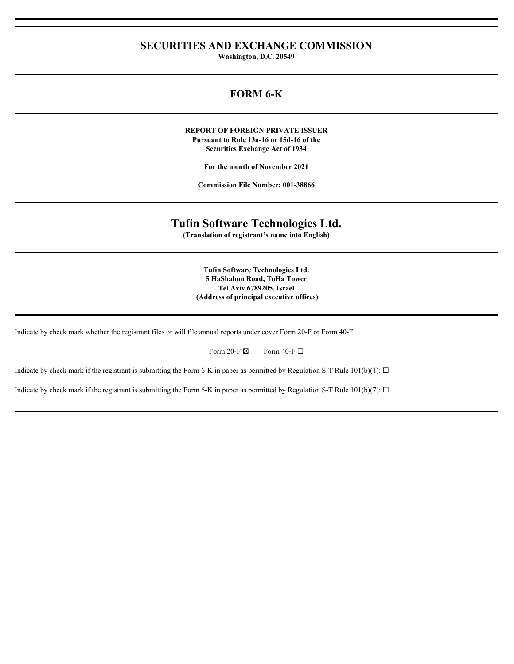## **SECURITIES AND EXCHANGE COMMISSION**

**Washington, D.C. 20549**

# **FORM 6-K**

## **REPORT OF FOREIGN PRIVATE ISSUER Pursuant to Rule 13a-16 or 15d-16 of the Securities Exchange Act of 1934**

**For the month of November 2021**

**Commission File Number: 001-38866**

# **Tufin Software Technologies Ltd.**

**(Translation of registrant's name into English)**

**Tufin Software Technologies Ltd. 5 HaShalom Road, ToHa Tower Tel Aviv 6789205, Israel (Address of principal executive offices)**

Indicate by check mark whether the registrant files or will file annual reports under cover Form 20-F or Form 40-F.

Form 20-F  $\boxtimes$  Form 40-F  $\Box$ 

Indicate by check mark if the registrant is submitting the Form 6-K in paper as permitted by Regulation S-T Rule 101(b)(1):  $\Box$ 

Indicate by check mark if the registrant is submitting the Form 6-K in paper as permitted by Regulation S-T Rule 101(b)(7):  $\Box$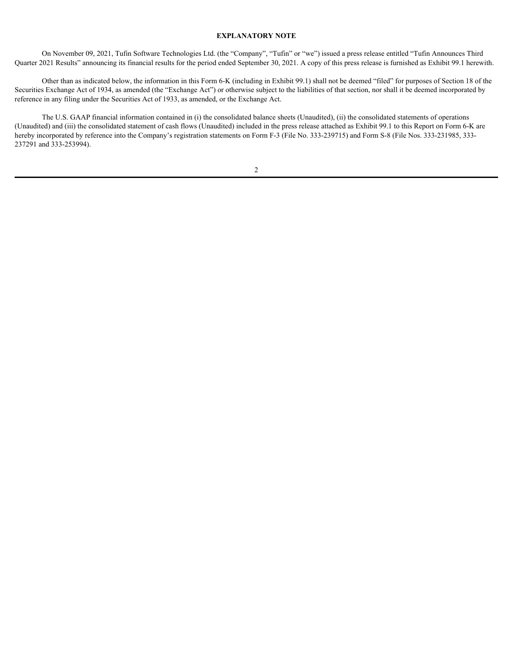#### **EXPLANATORY NOTE**

On November 09, 2021, Tufin Software Technologies Ltd. (the "Company", "Tufin" or "we") issued a press release entitled "Tufin Announces Third Quarter 2021 Results" announcing its financial results for the period ended September 30, 2021. A copy of this press release is furnished as Exhibit 99.1 herewith.

Other than as indicated below, the information in this Form 6-K (including in Exhibit 99.1) shall not be deemed "filed" for purposes of Section 18 of the Securities Exchange Act of 1934, as amended (the "Exchange Act") or otherwise subject to the liabilities of that section, nor shall it be deemed incorporated by reference in any filing under the Securities Act of 1933, as amended, or the Exchange Act.

The U.S. GAAP financial information contained in (i) the consolidated balance sheets (Unaudited), (ii) the consolidated statements of operations (Unaudited) and (iii) the consolidated statement of cash flows (Unaudited) included in the press release attached as Exhibit 99.1 to this Report on Form 6-K are hereby incorporated by reference into the Company's registration statements on Form F-3 (File No. 333-239715) and Form S-8 (File Nos. 333-231985, 333-237291 and 333-253994).

| ٦<br>i |
|--------|
| i      |
|        |
|        |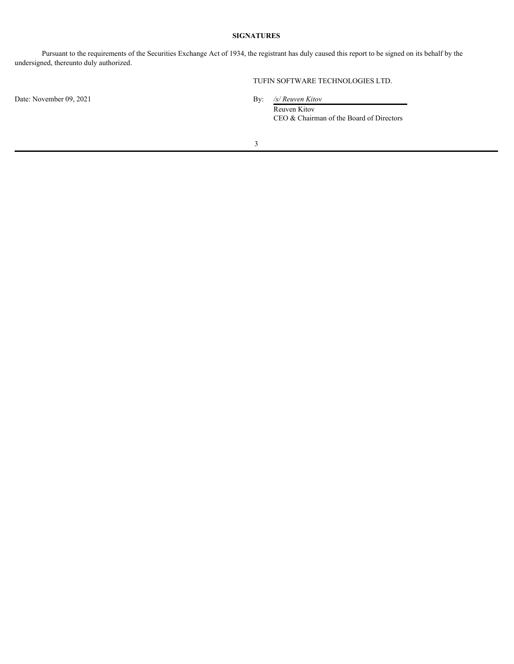## **SIGNATURES**

Pursuant to the requirements of the Securities Exchange Act of 1934, the registrant has duly caused this report to be signed on its behalf by the undersigned, thereunto duly authorized.

Date: November 09, 2021 By: */s/ Reuven Kitov* 

TUFIN SOFTWARE TECHNOLOGIES LTD.

Reuven Kitov CEO & Chairman of the Board of Directors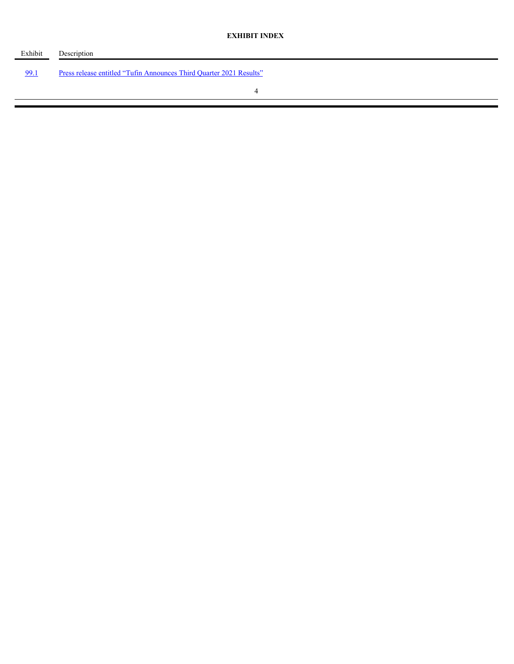| Exhibit | Description                                                                |
|---------|----------------------------------------------------------------------------|
| 99.1    | <b>Press release entitled "Tufin Announces Third Quarter 2021 Results"</b> |
|         |                                                                            |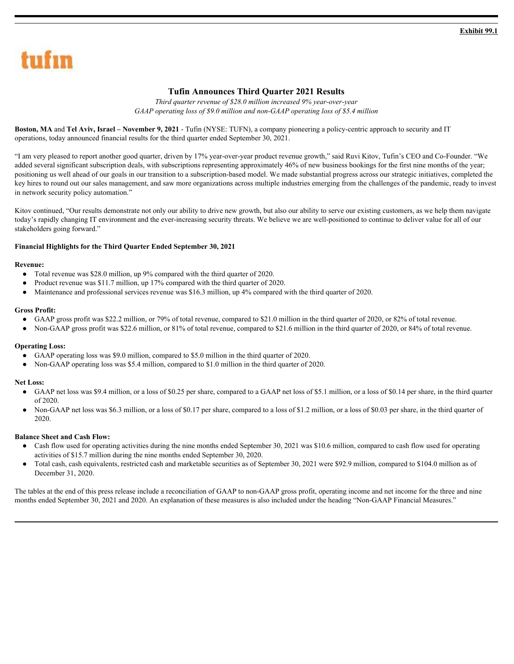<span id="page-4-0"></span>

## **Tufin Announces Third Quarter 2021 Results**

*Third quarter revenue of \$28.0 million increased 9% year-over-year GAAP operating loss of \$9.0 million and non-GAAP operating loss of \$5.4 million*

**Boston, MA** and **Tel Aviv, Israel – November 9, 2021** - Tufin (NYSE: TUFN), a company pioneering a policy-centric approach to security and IT operations, today announced financial results for the third quarter ended September 30, 2021.

"I am very pleased to report another good quarter, driven by 17% year-over-year product revenue growth," said Ruvi Kitov, Tufin's CEO and Co-Founder. "We added several significant subscription deals, with subscriptions representing approximately 46% of new business bookings for the first nine months of the year; positioning us well ahead of our goals in our transition to a subscription-based model. We made substantial progress across our strategic initiatives, completed the key hires to round out our sales management, and saw more organizations across multiple industries emerging from the challenges of the pandemic, ready to invest in network security policy automation."

Kitov continued, "Our results demonstrate not only our ability to drive new growth, but also our ability to serve our existing customers, as we help them navigate today's rapidly changing IT environment and the ever-increasing security threats. We believe we are well-positioned to continue to deliver value for all of our stakeholders going forward."

## **Financial Highlights for the Third Quarter Ended September 30, 2021**

#### **Revenue:**

- Total revenue was \$28.0 million, up 9% compared with the third quarter of 2020.
- Product revenue was \$11.7 million, up 17% compared with the third quarter of 2020.
- Maintenance and professional services revenue was \$16.3 million, up 4% compared with the third quarter of 2020.

#### **Gross Profit:**

- GAAP gross profit was \$22.2 million, or 79% of total revenue, compared to \$21.0 million in the third quarter of 2020, or 82% of total revenue.
- Non-GAAP gross profit was \$22.6 million, or 81% of total revenue, compared to \$21.6 million in the third quarter of 2020, or 84% of total revenue.

## **Operating Loss:**

- GAAP operating loss was \$9.0 million, compared to \$5.0 million in the third quarter of 2020.
- Non-GAAP operating loss was \$5.4 million, compared to \$1.0 million in the third quarter of 2020.

#### **Net Loss:**

- GAAP net loss was \$9.4 million, or a loss of \$0.25 per share, compared to a GAAP net loss of \$5.1 million, or a loss of \$0.14 per share, in the third quarter of 2020.
- Non-GAAP net loss was \$6.3 million, or a loss of \$0.17 per share, compared to a loss of \$1.2 million, or a loss of \$0.03 per share, in the third quarter of 2020.

#### **Balance Sheet and Cash Flow:**

- Cash flow used for operating activities during the nine months ended September 30, 2021 was \$10.6 million, compared to cash flow used for operating activities of \$15.7 million during the nine months ended September 30, 2020.
- Total cash, cash equivalents, restricted cash and marketable securities as of September 30, 2021 were \$92.9 million, compared to \$104.0 million as of December 31, 2020.

The tables at the end of this press release include a reconciliation of GAAP to non-GAAP gross profit, operating income and net income for the three and nine months ended September 30, 2021 and 2020. An explanation of these measures is also included under the heading "Non-GAAP Financial Measures."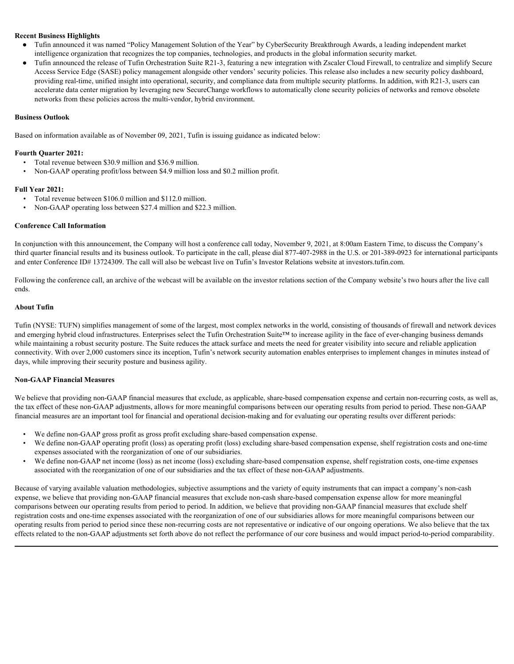## **Recent Business Highlights**

- Tufin announced it was named "Policy Management Solution of the Year" by CyberSecurity Breakthrough Awards, a leading independent market intelligence organization that recognizes the top companies, technologies, and products in the global information security market.
- Tufin announced the release of Tufin Orchestration Suite R21-3, featuring a new integration with Zscaler Cloud Firewall, to centralize and simplify Secure Access Service Edge (SASE) policy management alongside other vendors' security policies. This release also includes a new security policy dashboard, providing real-time, unified insight into operational, security, and compliance data from multiple security platforms. In addition, with R21-3, users can accelerate data center migration by leveraging new SecureChange workflows to automatically clone security policies of networks and remove obsolete networks from these policies across the multi-vendor, hybrid environment.

## **Business Outlook**

Based on information available as of November 09, 2021, Tufin is issuing guidance as indicated below:

## **Fourth Quarter 2021:**

- Total revenue between \$30.9 million and \$36.9 million.
- Non-GAAP operating profit/loss between \$4.9 million loss and \$0.2 million profit.

## **Full Year 2021:**

- Total revenue between \$106.0 million and \$112.0 million.
- Non-GAAP operating loss between \$27.4 million and \$22.3 million.

## **Conference Call Information**

In conjunction with this announcement, the Company will host a conference call today, November 9, 2021, at 8:00am Eastern Time, to discuss the Company's third quarter financial results and its business outlook. To participate in the call, please dial 877-407-2988 in the U.S. or 201-389-0923 for international participants and enter Conference ID# 13724309. The call will also be webcast live on Tufin's Investor Relations website at investors.tufin.com.

Following the conference call, an archive of the webcast will be available on the investor relations section of the Company website's two hours after the live call ends.

#### **About Tufin**

Tufin (NYSE: TUFN) simplifies management of some of the largest, most complex networks in the world, consisting of thousands of firewall and network devices and emerging hybrid cloud infrastructures. Enterprises select the Tufin Orchestration Suite™ to increase agility in the face of ever-changing business demands while maintaining a robust security posture. The Suite reduces the attack surface and meets the need for greater visibility into secure and reliable application connectivity. With over 2,000 customers since its inception, Tufin's network security automation enables enterprises to implement changes in minutes instead of days, while improving their security posture and business agility.

## **Non-GAAP Financial Measures**

We believe that providing non-GAAP financial measures that exclude, as applicable, share-based compensation expense and certain non-recurring costs, as well as, the tax effect of these non-GAAP adjustments, allows for more meaningful comparisons between our operating results from period to period. These non-GAAP financial measures are an important tool for financial and operational decision-making and for evaluating our operating results over different periods:

- We define non-GAAP gross profit as gross profit excluding share-based compensation expense.
- We define non-GAAP operating profit (loss) as operating profit (loss) excluding share-based compensation expense, shelf registration costs and one-time expenses associated with the reorganization of one of our subsidiaries.
- We define non-GAAP net income (loss) as net income (loss) excluding share-based compensation expense, shelf registration costs, one-time expenses associated with the reorganization of one of our subsidiaries and the tax effect of these non-GAAP adjustments.

Because of varying available valuation methodologies, subjective assumptions and the variety of equity instruments that can impact a company's non-cash expense, we believe that providing non-GAAP financial measures that exclude non-cash share-based compensation expense allow for more meaningful comparisons between our operating results from period to period. In addition, we believe that providing non-GAAP financial measures that exclude shelf registration costs and one-time expenses associated with the reorganization of one of our subsidiaries allows for more meaningful comparisons between our operating results from period to period since these non-recurring costs are not representative or indicative of our ongoing operations. We also believe that the tax effects related to the non-GAAP adjustments set forth above do not reflect the performance of our core business and would impact period-to-period comparability.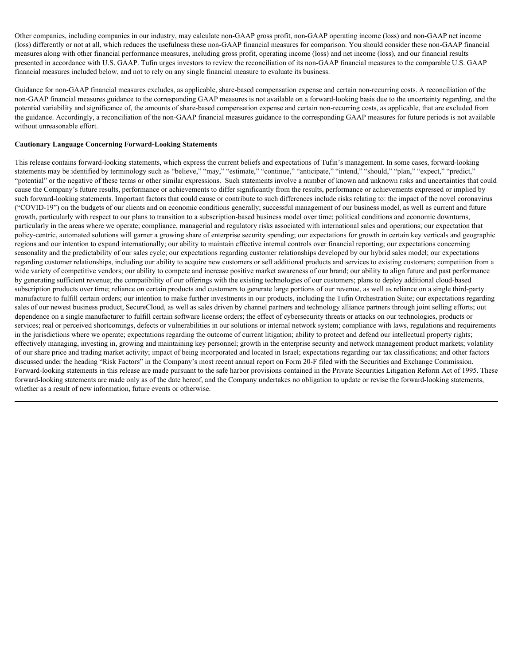Other companies, including companies in our industry, may calculate non-GAAP gross profit, non-GAAP operating income (loss) and non-GAAP net income (loss) differently or not at all, which reduces the usefulness these non-GAAP financial measures for comparison. You should consider these non-GAAP financial measures along with other financial performance measures, including gross profit, operating income (loss) and net income (loss), and our financial results presented in accordance with U.S. GAAP. Tufin urges investors to review the reconciliation of its non-GAAP financial measures to the comparable U.S. GAAP financial measures included below, and not to rely on any single financial measure to evaluate its business.

Guidance for non-GAAP financial measures excludes, as applicable, share-based compensation expense and certain non-recurring costs. A reconciliation of the non-GAAP financial measures guidance to the corresponding GAAP measures is not available on a forward-looking basis due to the uncertainty regarding, and the potential variability and significance of, the amounts of share-based compensation expense and certain non-recurring costs, as applicable, that are excluded from the guidance. Accordingly, a reconciliation of the non-GAAP financial measures guidance to the corresponding GAAP measures for future periods is not available without unreasonable effort.

## **Cautionary Language Concerning Forward-Looking Statements**

This release contains forward-looking statements, which express the current beliefs and expectations of Tufin's management. In some cases, forward-looking statements may be identified by terminology such as "believe," "may," "estimate," "continue," "anticipate," "intend," "should," "plan," "expect," "predict," "potential" or the negative of these terms or other similar expressions. Such statements involve a number of known and unknown risks and uncertainties that could cause the Company's future results, performance or achievements to differ significantly from the results, performance or achievements expressed or implied by such forward-looking statements. Important factors that could cause or contribute to such differences include risks relating to: the impact of the novel coronavirus ("COVID-19") on the budgets of our clients and on economic conditions generally; successful management of our business model, as well as current and future growth, particularly with respect to our plans to transition to a subscription-based business model over time; political conditions and economic downturns, particularly in the areas where we operate; compliance, managerial and regulatory risks associated with international sales and operations; our expectation that policy-centric, automated solutions will garner a growing share of enterprise security spending; our expectations for growth in certain key verticals and geographic regions and our intention to expand internationally; our ability to maintain effective internal controls over financial reporting; our expectations concerning seasonality and the predictability of our sales cycle; our expectations regarding customer relationships developed by our hybrid sales model; our expectations regarding customer relationships, including our ability to acquire new customers or sell additional products and services to existing customers; competition from a wide variety of competitive vendors; our ability to compete and increase positive market awareness of our brand; our ability to align future and past performance by generating sufficient revenue; the compatibility of our offerings with the existing technologies of our customers; plans to deploy additional cloud-based subscription products over time; reliance on certain products and customers to generate large portions of our revenue, as well as reliance on a single third-party manufacture to fulfill certain orders; our intention to make further investments in our products, including the Tufin Orchestration Suite; our expectations regarding sales of our newest business product, SecureCloud, as well as sales driven by channel partners and technology alliance partners through joint selling efforts; out dependence on a single manufacturer to fulfill certain software license orders; the effect of cybersecurity threats or attacks on our technologies, products or services; real or perceived shortcomings, defects or vulnerabilities in our solutions or internal network system; compliance with laws, regulations and requirements in the jurisdictions where we operate; expectations regarding the outcome of current litigation; ability to protect and defend our intellectual property rights; effectively managing, investing in, growing and maintaining key personnel; growth in the enterprise security and network management product markets; volatility of our share price and trading market activity; impact of being incorporated and located in Israel; expectations regarding our tax classifications; and other factors discussed under the heading "Risk Factors" in the Company's most recent annual report on Form 20-F filed with the Securities and Exchange Commission. Forward-looking statements in this release are made pursuant to the safe harbor provisions contained in the Private Securities Litigation Reform Act of 1995. These forward-looking statements are made only as of the date hereof, and the Company undertakes no obligation to update or revise the forward-looking statements, whether as a result of new information, future events or otherwise.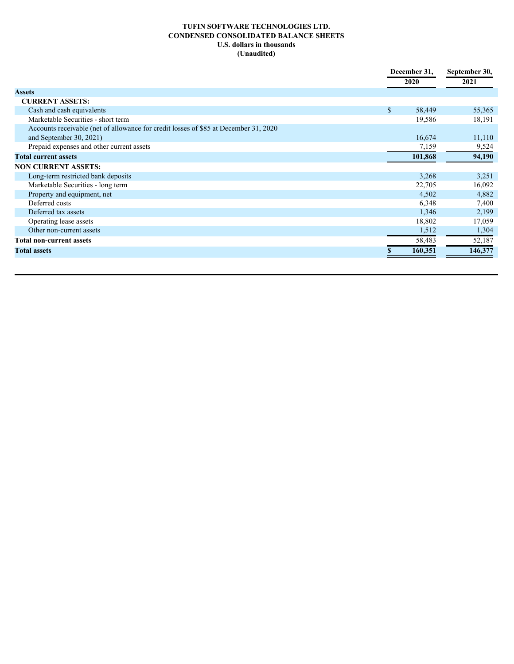## **TUFIN SOFTWARE TECHNOLOGIES LTD. CONDENSED CONSOLIDATED BALANCE SHEETS U.S. dollars in thousands (Unaudited)**

|                                                                                       | December 31,       | September 30, |
|---------------------------------------------------------------------------------------|--------------------|---------------|
|                                                                                       | 2020               | 2021          |
| <b>Assets</b>                                                                         |                    |               |
| <b>CURRENT ASSETS:</b>                                                                |                    |               |
| Cash and cash equivalents                                                             | 58,449<br><b>S</b> | 55,365        |
| Marketable Securities - short term                                                    | 19,586             | 18,191        |
| Accounts receivable (net of allowance for credit losses of \$85 at December 31, 2020) |                    |               |
| and September 30, 2021)                                                               | 16,674             | 11,110        |
| Prepaid expenses and other current assets                                             | 7,159              | 9,524         |
| <b>Total current assets</b>                                                           | 101,868            | 94,190        |
| <b>NON CURRENT ASSETS:</b>                                                            |                    |               |
| Long-term restricted bank deposits                                                    | 3,268              | 3,251         |
| Marketable Securities - long term                                                     | 22,705             | 16,092        |
| Property and equipment, net                                                           | 4,502              | 4,882         |
| Deferred costs                                                                        | 6,348              | 7,400         |
| Deferred tax assets                                                                   | 1,346              | 2,199         |
| Operating lease assets                                                                | 18,802             | 17,059        |
| Other non-current assets                                                              | 1,512              | 1,304         |
| <b>Total non-current assets</b>                                                       | 58,483             | 52,187        |
| <b>Total assets</b>                                                                   | 160,351            | 146,377       |
|                                                                                       |                    |               |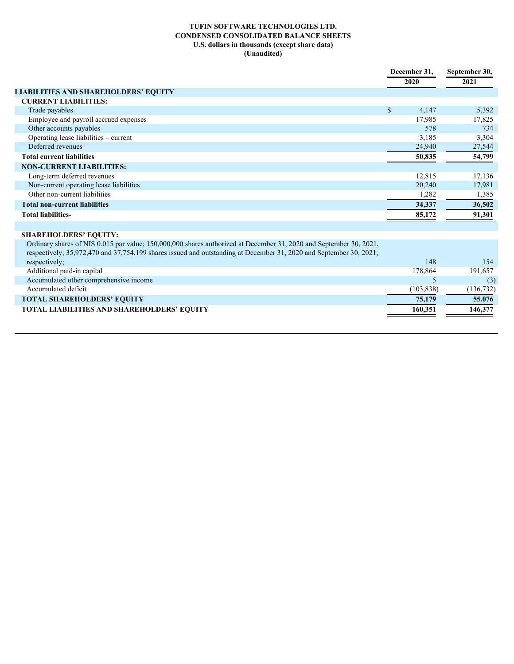## **TUFIN SOFTWARE TECHNOLOGIES LTD. CONDENSED CONSOLIDATED BALANCE SHEETS U.S. dollars in thousands (except share data) (Unaudited)**

|                                                                                                                    | December 31,<br>2020 |            | September 30, |  |
|--------------------------------------------------------------------------------------------------------------------|----------------------|------------|---------------|--|
|                                                                                                                    |                      |            | 2021          |  |
| LIABILITIES AND SHAREHOLDERS' EQUITY                                                                               |                      |            |               |  |
| <b>CURRENT LIABILITIES:</b>                                                                                        |                      |            |               |  |
| Trade payables                                                                                                     | $\mathbb{S}$         | 4,147      | 5,392         |  |
| Employee and payroll accrued expenses                                                                              |                      | 17,985     | 17,825        |  |
| Other accounts payables                                                                                            |                      | 578        | 734           |  |
| Operating lease liabilities - current                                                                              |                      | 3,185      | 3,304         |  |
| Deferred revenues                                                                                                  |                      | 24,940     | 27,544        |  |
| <b>Total current liabilities</b>                                                                                   |                      | 50,835     | 54,799        |  |
| <b>NON-CURRENT LIABILITIES:</b>                                                                                    |                      |            |               |  |
| Long-term deferred revenues                                                                                        |                      | 12,815     | 17,136        |  |
| Non-current operating lease liabilities                                                                            |                      | 20,240     | 17,981        |  |
| Other non-current liabilities                                                                                      |                      | 1,282      | 1,385         |  |
| <b>Total non-current liabilities</b>                                                                               |                      | 34,337     | 36,502        |  |
| <b>Total liabilities-</b>                                                                                          |                      | 85,172     | 91,301        |  |
|                                                                                                                    |                      |            |               |  |
| <b>SHAREHOLDERS' EQUITY:</b>                                                                                       |                      |            |               |  |
| Ordinary shares of NIS 0.015 par value; 150,000,000 shares authorized at December 31, 2020 and September 30, 2021, |                      |            |               |  |
| respectively; 35,972,470 and 37,754,199 shares issued and outstanding at December 31, 2020 and September 30, 2021, |                      |            |               |  |
| respectively;                                                                                                      |                      | 148        | 154           |  |
| Additional paid-in capital                                                                                         |                      | 178,864    | 191,657       |  |
| Accumulated other comprehensive income                                                                             |                      | 5          | (3)           |  |
| Accumulated deficit                                                                                                |                      | (103, 838) | (136, 732)    |  |
| <b>TOTAL SHAREHOLDERS' EQUITY</b>                                                                                  |                      | 75,179     | 55,076        |  |
| TOTAL LIABILITIES AND SHAREHOLDERS' EQUITY                                                                         |                      | 160,351    | 146,377       |  |
|                                                                                                                    |                      |            |               |  |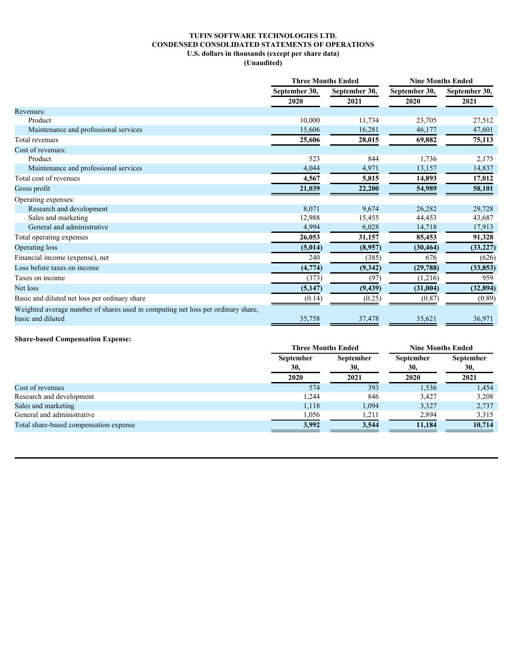## **TUFIN SOFTWARE TECHNOLOGIES LTD. CONDENSED CONSOLIDATED STATEMENTS OF OPERATIONS U.S. dollars in thousands (except per share data)**

**(Unaudited)**

|                                                                                  | <b>Three Months Ended</b> |               | <b>Nine Months Ended</b> |               |  |
|----------------------------------------------------------------------------------|---------------------------|---------------|--------------------------|---------------|--|
|                                                                                  | September 30,             | September 30, | September 30,            | September 30, |  |
|                                                                                  | 2020                      | 2021          | 2020                     | 2021          |  |
| Revenues:                                                                        |                           |               |                          |               |  |
| Product                                                                          | 10,000                    | 11,734        | 23,705                   | 27,512        |  |
| Maintenance and professional services                                            | 15,606                    | 16,281        | 46,177                   | 47,601        |  |
| Total revenues                                                                   | 25,606                    | 28,015        | 69,882                   | 75,113        |  |
| Cost of revenues:                                                                |                           |               |                          |               |  |
| Product                                                                          | 523                       | 844           | 1,736                    | 2,175         |  |
| Maintenance and professional services                                            | 4,044                     | 4,971         | 13,157                   | 14,837        |  |
| Total cost of revenues                                                           | 4,567                     | 5,815         | 14,893                   | 17,012        |  |
| Gross profit                                                                     | 21,039                    | 22,200        | 54,989                   | 58,101        |  |
| Operating expenses:                                                              |                           |               |                          |               |  |
| Research and development                                                         | 8,071                     | 9,674         | 26,282                   | 29,728        |  |
| Sales and marketing                                                              | 12,988                    | 15,455        | 44,453                   | 43,687        |  |
| General and administrative                                                       | 4,994                     | 6,028         | 14,718                   | 17,913        |  |
| Total operating expenses                                                         | 26,053                    | 31,157        | 85,453                   | 91,328        |  |
| Operating loss                                                                   | (5,014)                   | (8,957)       | (30, 464)                | (33, 227)     |  |
| Financial income (expense), net                                                  | 240                       | (385)         | 676                      | (626)         |  |
| Loss before taxes on income                                                      | (4, 774)                  | (9, 342)      | (29, 788)                | (33, 853)     |  |
| Taxes on income                                                                  | (373)                     | (97)          | (1,216)                  | 959           |  |
| Net loss                                                                         | (5,147)                   | (9, 439)      | (31,004)                 | (32, 894)     |  |
| Basic and diluted net loss per ordinary share                                    | (0.14)                    | (0.25)        | (0.87)                   | (0.89)        |  |
| Weighted average number of shares used in computing net loss per ordinary share, |                           |               |                          |               |  |
| basic and diluted                                                                | 35,758                    | 37,478        | 35,621                   | 36,971        |  |
|                                                                                  |                           |               |                          |               |  |

## **Share-based Compensation Expense:**

| <b>Three Months Ended</b> |                          | <b>Nine Months Ended</b> |                                 |
|---------------------------|--------------------------|--------------------------|---------------------------------|
| September<br>30,<br>2020  | September<br>30,<br>2021 | September<br>30,<br>2020 | <b>September</b><br>30,<br>2021 |
|                           |                          |                          |                                 |
| 1,244                     | 846                      | 3,427                    | 3,208                           |
| 1,118                     | 1,094                    | 3,327                    | 2,737                           |
| 1,056                     | 1.211                    | 2,894                    | 3,315                           |
| 3,992                     | 3,544                    | 11,184                   | 10,714                          |
|                           |                          |                          |                                 |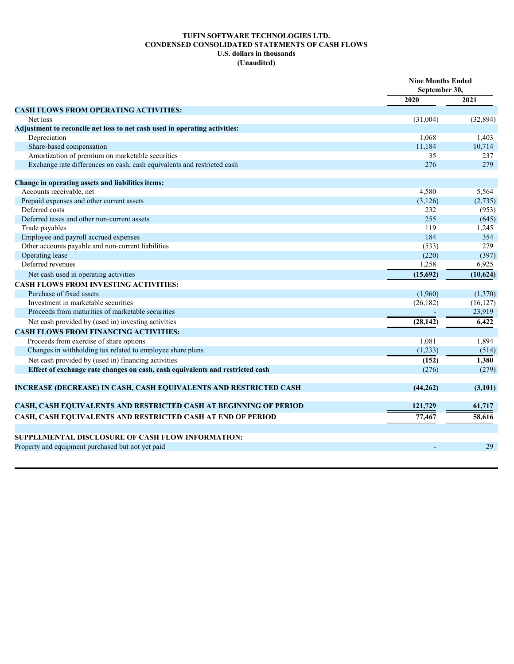## **TUFIN SOFTWARE TECHNOLOGIES LTD. CONDENSED CONSOLIDATED STATEMENTS OF CASH FLOWS U.S. dollars in thousands**

**(Unaudited)**

|                                                                               | <b>Nine Months Ended</b><br>September 30, |           |  |
|-------------------------------------------------------------------------------|-------------------------------------------|-----------|--|
|                                                                               | 2020                                      | 2021      |  |
| <b>CASH FLOWS FROM OPERATING ACTIVITIES:</b>                                  |                                           |           |  |
| Net loss                                                                      | (31,004)                                  | (32, 894) |  |
| Adjustment to reconcile net loss to net cash used in operating activities:    |                                           |           |  |
| Depreciation                                                                  | 1,068                                     | 1,403     |  |
| Share-based compensation                                                      | 11,184                                    | 10,714    |  |
| Amortization of premium on marketable securities                              | 35                                        | 237       |  |
| Exchange rate differences on cash, cash equivalents and restricted cash       | 276                                       | 279       |  |
|                                                                               |                                           |           |  |
| Change in operating assets and liabilities items:                             |                                           |           |  |
| Accounts receivable, net                                                      | 4,580                                     | 5,564     |  |
| Prepaid expenses and other current assets                                     | (3, 126)                                  | (2,735)   |  |
| Deferred costs                                                                | 232                                       | (953)     |  |
| Deferred taxes and other non-current assets                                   | 255                                       | (645)     |  |
| Trade payables                                                                | 119                                       | 1,245     |  |
| Employee and payroll accrued expenses                                         | 184                                       | 354       |  |
| Other accounts payable and non-current liabilities                            | (533)                                     | 279       |  |
| Operating lease                                                               | (220)                                     | (397)     |  |
| Deferred revenues                                                             | 1,258                                     | 6,925     |  |
| Net cash used in operating activities                                         | (15,692)                                  | (10, 624) |  |
| <b>CASH FLOWS FROM INVESTING ACTIVITIES:</b>                                  |                                           |           |  |
| Purchase of fixed assets                                                      | (1,960)                                   | (1,370)   |  |
| Investment in marketable securities                                           | (26, 182)                                 | (16, 127) |  |
| Proceeds from maturities of marketable securities                             |                                           | 23,919    |  |
| Net cash provided by (used in) investing activities                           | (28, 142)                                 | 6,422     |  |
| <b>CASH FLOWS FROM FINANCING ACTIVITIES:</b>                                  |                                           |           |  |
| Proceeds from exercise of share options                                       | 1,081                                     | 1,894     |  |
| Changes in withholding tax related to employee share plans                    | (1,233)                                   | (514)     |  |
| Net cash provided by (used in) financing activities                           | (152)                                     | 1,380     |  |
| Effect of exchange rate changes on cash, cash equivalents and restricted cash | (276)                                     | (279)     |  |
|                                                                               |                                           |           |  |
| <b>INCREASE (DECREASE) IN CASH, CASH EQUIVALENTS AND RESTRICTED CASH</b>      | (44, 262)                                 | (3,101)   |  |
| CASH, CASH EQUIVALENTS AND RESTRICTED CASH AT BEGINNING OF PERIOD             | 121,729                                   | 61,717    |  |
| CASH, CASH EQUIVALENTS AND RESTRICTED CASH AT END OF PERIOD                   | 77,467                                    | 58,616    |  |
|                                                                               |                                           |           |  |
| SUPPLEMENTAL DISCLOSURE OF CASH FLOW INFORMATION:                             |                                           |           |  |
| Property and equipment purchased but not yet paid                             |                                           | 29        |  |
|                                                                               |                                           |           |  |